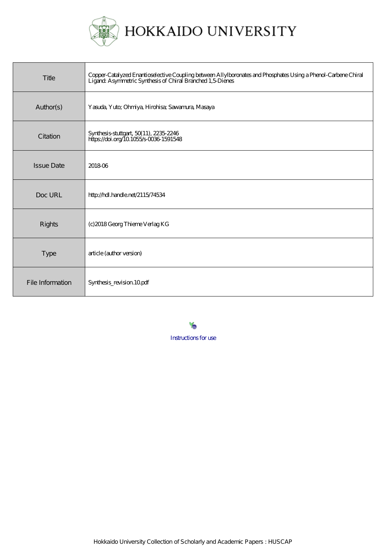

| Title             | Copper-Catalyzed Enantioselective Coupling between Allylboronates and Phosphates Using a Phenol-Carbene Chiral<br>Ligand: Asymmetric Synthesis of Chiral Branched 1,5 Dienes |
|-------------------|------------------------------------------------------------------------------------------------------------------------------------------------------------------------------|
| Author(s)         | Yasuda, Yuto; Ohmiya, Hirohisa; Sawamura, Masaya                                                                                                                             |
| Citation          | Synthesis-stuttgart, 50(11), 2235-2246<br>https://doi.org/10.1055/s-0036-1591548                                                                                             |
| <b>Issue Date</b> | 201806                                                                                                                                                                       |
| Doc URL           | http://hdl.handle.net/2115/74534                                                                                                                                             |
| <b>Rights</b>     | (c) 2018 Georg Thieme Verlag KG                                                                                                                                              |
| <b>Type</b>       | article (author version)                                                                                                                                                     |
| File Information  | Synthesis_revision 10pdf                                                                                                                                                     |

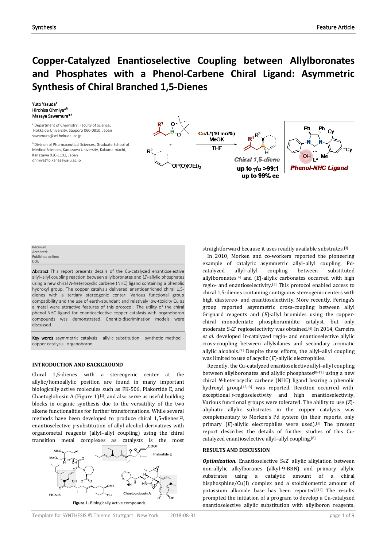# **Copper-Catalyzed Enantioselective Coupling between Allylboronates and Phosphates with a Phenol-Carbene Chiral Ligand: Asymmetric Synthesis of Chiral Branched 1,5-Dienes**

#### Yuto Yasuda<sup>a</sup> Hirohisa Ohmiya\*b Masaya Sawamura<sup>\*a</sup>

<sup>a</sup> Department of Chemistry, Faculty of Science, Hokkaido University, Sapporo 060-0810, Japan sawamura@sci.hokudai.ac.jp

**b** Division of Pharmaceutical Sciences, Graduate School of Medical Sciences, Kanazawa University, Kakuma-machi, Kanazawa 920-1192, Japan ohmiya@p.kanazawa-u.ac.jp





#### Received: Accepted: Published online: DOI:

Abstract This report presents details of the Cu-catalyzed enantioselective allyl–allyl coupling reaction between allylboronates and (*Z*)-allylic phosphates using a new chiral *N*-heterocyclic carbene (NHC) ligand containing a phenolic hydroxyl group. The copper catalysis delivered enantioenriched chiral 1,5 dienes with a tertiary stereogenic center. Various functional group compatibility and the use of earth-abundant and relatively low-toxicity Cu as a metal were attractive features of this protocol. The utility of the chiral phenol-NHC ligand for enantioselective copper catalysis with organoboron compounds was demonstrated. Enantio-discrimination models were discussed.

Key words asymmetric catalysis  $\cdot$  allylic substitution  $\cdot$  synthetic method copper catalysis · organoboron

# **INTRODUCTION AND BACKGROUND**

Chiral 1,5-dienes with a stereogenic center at the allylic/homoallylic position are found in many important biologically active molecules such as FK-506, Plakortide E, and Chaetoglobosin A (Figure 1) $[1]$ , and also serve as useful building blocks in organic synthesis due to the versatility of the two alkene functionalities for further transformations. While several methods have been developed to produce chiral 1,5-dienes<sup>[2]</sup>, enantioselective *γ*-substitution of allyl alcohol derivatives with organometal reagents (allyl–allyl coupling) using the chiral transition metal complexes as catalysts is the most



straightforward because it uses readily available substrates.[3]

In 2010, Morken and co-workers reported the pioneering example of catalytic asymmetric allyl–allyl coupling; Pdcatalyzed allyl–allyl coupling between substituted allylboronates[4] and (*E*)-allylic carbonates occurred with high regio- and enantioselectivity. [5] This protocol enabled access to chiral 1,5-dienes containing contiguous stereogenic centers with high diastereo- and enantioselectivity. More recently, Feringa's group reported asymmetric cross-coupling between allyl Grignard reagents and (*E*)-allyl bromides using the copperchiral monodentate phosphoramidite catalyst, but only moderate SN2' regioselectivity was obtained. [6] In 2014, Carreira *et al.* developed Ir-catalyzed regio- and enantioselective allylic cross-coupling between allylsilanes and secondary aromatic allylic alcohols.[7] Despite these efforts, the allyl–allyl coupling was limited to use of acyclic (*E*)-allylic electrophiles.

Recently, the Cu-catalyzed enantioselective allyl–allyl coupling between allylboronates and allylic phosphates<sup>[8-11]</sup> using a new chiral *N*-heterocyclic carbene (NHC) ligand bearing a phenolic hydroxyl group<sup>[12,13]</sup> was reported. Reaction occurred with exceptional <sup>γ</sup>-regioselectivity and high enantioselectivity. Various functional groups were tolerated. The ability to use (*Z*) aliphatic allylic substrates in the copper catalysis was complementary to Morken's Pd system (in their reports, only primary (*E*)-allylic electrophiles were used). [5] The present report describes the details of further studies of this Cucatalyzed enantioselective allyl–allyl coupling. [8]

# **RESULTS AND DISCUSSION**

*Optimization.* Enantioselective S<sub>N</sub>2' allylic alkylation between non-allylic alkylboranes (alkyl-9-BBN) and primary allylic substrates using a catalytic amount of a chiral bisphosphine/Cu(I) complex and a stoichiometric amount of potassium alkoxide base has been reported. [14] The results prompted the initiation of a program to develop a Cu-catalyzed enantioselective allylic substitution with allylboron reagents.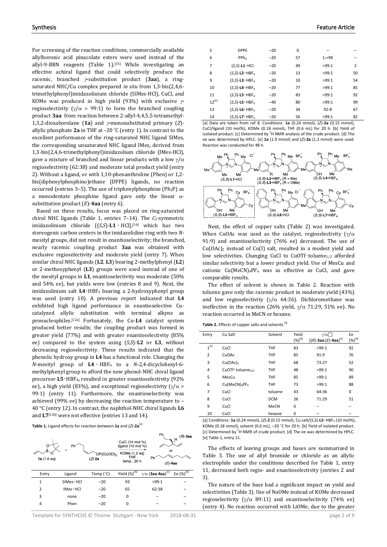For screening of the reaction conditions, commercially available allylboronic acid pinacolate esters were used instead of the allyl-9-BBN reagents (Table 1).<sup>[15]</sup> While investigating an effective achiral ligand that could selectively produce the racemic, branched γ-substitution product (**3aa**), a ringsaturated NHC/Cu complex prepared *in situ* from 1,3-bis(2,4,6 trimethylphenyl)imidazolinium chloride (SIMes·HCl), CuCl, and KOMe was produced in high yield (93%) with exclusive  $\gamma$ regioselectivity ( $\gamma/\alpha$  > 99:1) to form the branched coupling product **3aa** from reaction between 2-allyl-4,4,5,5-tetramethyl-1,3,2-dioxaborolane (**1a**) and γ-monosubstituted primary (*Z*) allylic phosphate **2a** in THF at –20 ˚C (entry 1). In contrast to the excellent performance of the ring-saturated NHC ligand SIMes, the corresponding unsaturated NHC ligand IMes, derived from 1,3-bis(2,4,6-trimethylphenyl)imidazolium chloride (IMes·HCl), gave a mixture of branched and linear products with a low  $\gamma/\alpha$ regioselectivity (62:38) and moderate total product yield (entry 2). Without a ligand, or with 1,10-phenanthroline (Phen) or 1,2 bis(diphenylphosphino)ethane (DPPE) ligands, no reaction occurred (entries  $3-5$ ). The use of triphenylphosphine (Ph<sub>3</sub>P) as a monodentate phosphine ligand gave only the linear αsubstitution product (*E*)-**4aa** (entry 6).

Based on these results, focus was placed on ring-saturated chiral NHC ligands (Table 1, entries 7-14). The *C*<sub>2</sub>-symmetric imidazolinium chloride [(*S*,*S*)-**L1** ・ HCl],[16] which has two stereogenic carbon centers in the imidazolidine ring with two *N*mesityl groups, did not result in enantioselectivity; the branched, nearly racemic coupling product **3aa** was obtained with exclusive regioselectivity and moderate yield (entry 7). When similar chiral NHC ligands (**L2**, **L3**) bearing 2-methylphenyl (**L2**) or 2-methoxyphenyl (**L3**) groups were used instead of one of the mesityl groups in **L1**, enantioselectivity was moderate (50% and 54% ee), but yields were low (entries 8 and 9). Next, the imidazolinium salt **L4**・HBF4 bearing a 2-hydroxyphenyl group was used (entry 10). A previous report indicated that **L4** exhibited high ligand performance in enantioselective Cucatalyzed allylic substitution with terminal alkyne as pronucleophiles.[12a] Fortunately, the Cu-**L4** catalyst system produced better results; the coupling product was formed in greater yield (77%) and with greater enantioselectivity (85% ee) compared to the system using (*S*,*S*)-**L2** or **L3**, without decreasing regioselectivity. These results indicated that the phenolic hydroxy group in **L4** has a functional role. Changing the *N*-mesityl group of **L4** ・ HBF4 to a *N*-2,4-dicyclohexyl-6 methylphenyl group to afford the new phenol-NHC chiral ligand precursor **L5**・HBF4**,** resulted in greater enantioselectivity (92% ee), a high yield (83%), and exceptional regioselectivity ( $\gamma/\alpha$  > 99:1) (entry 11). Furthermore, the enantioselectivity was achieved (99% ee) by decreasing the reaction temperature to – 40 °C (entry 12). In contrast, the naphthol-NHC chiral ligands **L6** and **L7**[12b] were not effective (entries 13 and 14).

| Table 1. Ligand effects for reaction between 1a and $(Z)$ -2a <sup>[a]</sup> |  |
|------------------------------------------------------------------------------|--|
|------------------------------------------------------------------------------|--|

| 1a (1.6 eq)    | Ph <sup>-</sup><br>$\ddot{}$ | $OP(O)(OEt)_{2}$<br>$(Z)$ -2a | CuCl (10 mol %)<br>ligand $(10 \text{ mol } \%)$<br>KOMe (1.2 eq)<br><b>THF</b><br>temp., 20 h | Ph<br>or<br>Ph<br>$(E)$ 4aa              | $(R)$ 3aa<br>Ĥ,       |
|----------------|------------------------------|-------------------------------|------------------------------------------------------------------------------------------------|------------------------------------------|-----------------------|
| Entry          | Ligand                       | Temp (°C)                     | Yield (%) <sup>[b]</sup>                                                                       | $\gamma/\alpha$ (3aa:4aa) <sup>[c]</sup> | Ee $(\%)^{[\bar{d}]}$ |
| 1              | $SIMes \cdot HCl$            | $-20$                         | 93                                                                                             | >99:1                                    |                       |
| $\overline{2}$ | $IMes \cdot HCl$             | $-20$                         | 65                                                                                             | 62:38                                    |                       |
| 3              | none                         | $-20$                         | 0                                                                                              |                                          |                       |
| 4              | Phen                         | $-20$                         | 0                                                                                              |                                          |                       |

Template for SYNTHESIS © Thieme Stuttgart · New York 2018-08-31 2019 page 2 of 9

| 5          | <b>DPPE</b>                         | $-20$ | 0  |         |                |
|------------|-------------------------------------|-------|----|---------|----------------|
| 6          | PP <sub>h<sub>3</sub></sub>         | $-20$ | 57 | 1: > 99 |                |
| 7          | $(S,S)-L1$ HCl                      | $-20$ | 49 | >99:1   | $\overline{2}$ |
| 8          | $(S, S)$ -L2 · HBF <sub>4</sub>     | $-20$ | 13 | >99:1   | 50             |
| 9          | $(S,S)-L3$ $\cdot$ HBF <sub>4</sub> | $-20$ | 10 | >99:1   | 54             |
| 10         | $(S,S)-LA \cdot HBF4$               | $-20$ | 77 | >99:1   | 85             |
| 11         | $(S,S)-LS$ · HBF <sub>4</sub>       | $-20$ | 83 | >99:1   | 92             |
| $12^{[e]}$ | $(S,S)-LS$ · HBF <sub>4</sub>       | $-40$ | 80 | >99:1   | 99             |
| 13         | $(S,S)-LG \cdot HBF_A$              | $-20$ | 34 | 92:8    | 67             |
| 14         | $(S,S)-L7$ · HBF <sub>A</sub>       | $-20$ | 56 | >99:1   | 82             |

[a] Data are taken from ref 8. Conditions: **1a** (0.24 mmol), (*Z*)-**2a** (0.15 mmol), CuCl/ligand (10 mol%), KOMe (0.18 mmol), THF (0.6 mL) for 20 h. [b] Yield of isolated product. [c] Determined by  ${}^{1}H$  NMR analysis of the crude product. [d] The ee was determined by HPLC. [e] **1a** (1.9 mmol) and (*Z*)-**2a** (1.2 mmol) were used. Reaction was conducted for 48 h.



Next, the effect of copper salts (Table 2) was investigated. When CuOAc was used as the catalyst, regioselectivity ( $\gamma/\alpha$ 91:9) and enantioselectivity (76% ee) decreased. The use of Cu(OAc)2 instead of Cu(I) salt, resulted in a modest yield and low selectivities. Changing CuCl to CuOTf·toluene<sub>1/2</sub> afforded similar selectivity but a lower product yield. Use of MesCu and cationic  $Cu(MeCN)$ <sub>4</sub>PF<sub>6</sub> was as effective as CuCl, and gave comparable results.

The effect of solvent is shown in Table 2. Reaction with toluene gave only the racemic product in moderate yield (43%) and low regioselectivity ( $\gamma/\alpha$  64:36). Dichloromethane was ineffective in the reaction (26% yield,  $γ/α$  71:29, 51% ee). No reaction occurred in MeCN or hexane.

|  | Table 2. Effects of copper salts and solvents [a] |  |
|--|---------------------------------------------------|--|
|--|---------------------------------------------------|--|

| Entry            | Cu Salt                               | Solvent    | Yield<br>$({\%})^{[b]}$ | $\gamma/\alpha$ $\Box$<br>$[(R) - 3aa: (E) - 4aa]^{[c]}$ | Ee<br>$({\%})^{[d]}$ |
|------------------|---------------------------------------|------------|-------------------------|----------------------------------------------------------|----------------------|
| 1 <sup>[e]</sup> | CuCl                                  | <b>THF</b> | 83                      | >99:1                                                    | 92                   |
| 2                | CuOAc                                 | <b>THF</b> | 85                      | 91:9                                                     | 76                   |
| 3                | $Cu(OAc)_{2}$                         | <b>THF</b> | 68                      | 73:27                                                    | 52                   |
| 4                | CuOTf · toluene <sub>1/2</sub>        | <b>THF</b> | 48                      | >99:1                                                    | 90                   |
| 5                | MesCu                                 | <b>THF</b> | 85                      | >99:1                                                    | 89                   |
| 6                | Cu(MeCN) <sub>4</sub> PF <sub>6</sub> | <b>THF</b> | 73                      | >99:1                                                    | 88                   |
| 7                | CuCl                                  | toluene    | 43                      | 64:36                                                    | 0                    |
| 8                | CuCl                                  | <b>DCM</b> | 26                      | 71:29                                                    | 51                   |
| 9                | CuCl                                  | MeCN       | 0                       |                                                          |                      |
| 10               | CuCl                                  | hexane     | 0                       |                                                          |                      |

[a] Conditions: **1a** (0.24 mmol), (*Z*)-**2** (0.15 mmol), Cu salt/(*S*,*S*)-**L5**・HBF4 (10 mol%), KOMe (0.18 mmol), solvent (0.6 mL), –20 ˚C for 20 h. [b] Yield of isolated product. [c] Determined by <sup>1</sup>H NMR of crude product. [d] The ee was determined by HPLC. [e] Table 1, entry 11.

The effects of leaving groups and bases are summarized in Table 3. The use of allyl bromide or chloride as an allylic electrophile under the conditions described for Table 1, entry 11, decreased both regio- and enantioselectivity (entries 2 and 3).

The nature of the base had a significant impact on yield and selectivities (Table 3). Use of NaOMe instead of KOMe decreased regioselectivity ( $\gamma/\alpha$  89:11) and enantioselectivity (74% ee) (entry 4). No reaction occurred with LiOMe, due to the greater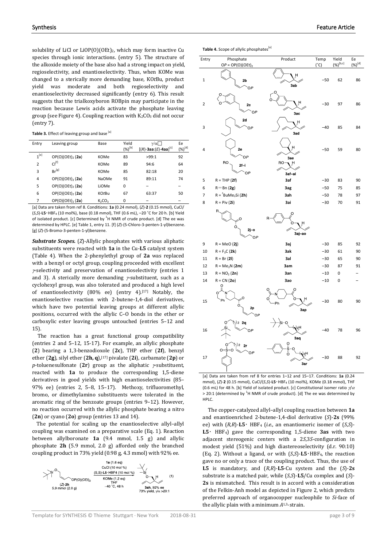solubility of LiCl or LiOP(O)(OEt)2, which may form inactive Cu species through ionic interactions. (entry 5). The structure of the alkoxide moiety of the base also had a strong impact on yield, regioselectivity, and enantioselectivity. Thus, when KOMe was changed to a sterically more demanding base, KO*t*Bu, product yield was moderate and both regioselectivity and enantioselectivity decreased significantly (entry 6). This result suggests that the trialkoxyboron ROBpin may participate in the reaction because Lewis acids activate the phosphate leaving group (see Figure 4). Coupling reaction with  $K_2CO_3$  did not occur (entry 7).

Table 3. Effect of leaving group and base [a]

| Entry          | Leaving group         | Base                           | Yield<br>$({\%})^{[b]}$ | $\gamma/\alpha$<br>$[(R) - 3aa : (E) - 4aa]^{[c]}$ | Ee<br>$(\%)^{[d]}$ |
|----------------|-----------------------|--------------------------------|-------------------------|----------------------------------------------------|--------------------|
| $1^{[e]}$      | $OP(O)(OEt)_{2}$ (2a) | KOMe                           | 83                      | >99:1                                              | 92                 |
| $\overline{2}$ | $Cl^{[f]}$            | KOMe                           | 89                      | 94:6                                               | 64                 |
| 3              | $Br^{[g]}$            | KOMe                           | 85                      | 82:18                                              | 20                 |
| 4              | $OP(O)(OEt)$ , $(2a)$ | <b>NaOMe</b>                   | 91                      | 89:11                                              | 74                 |
| 5              | $OP(O)(OEt)_{2}$ (2a) | LiOMe                          | 0                       |                                                    |                    |
| 6              | $OP(O)(OEt)$ , $(2a)$ | <b>KOtBu</b>                   | 67                      | 63:37                                              | 50                 |
| 7              | $OP(O)(OEt)$ , $(2a)$ | K <sub>2</sub> CO <sub>3</sub> | 0                       |                                                    | -                  |

[a] Data are taken from ref 8. Conditions: **1a** (0.24 mmol), (*Z*)-**2** (0.15 mmol), CuCl/ (*S*,*S*)-**L5**・HBF4 (10 mol%), base (0.18 mmol), THF (0.6 mL), –20 ˚C for 20 h. [b] Yield of isolated product. [c] Determined by  ${}^{1}$ H NMR of crude product. [d] The ee was determined by HPLC. [e] Table 1, entry 11. [f] (*Z*)-(5-Chloro-3-penten-1-yl)benzene. [g] (*Z*)-(5-Bromo-3-penten-1-yl)benzene.

*Substrate Scopes.* (*Z*)-Allylic phosphates with various aliphatic substituents were reacted with **1a** in the Cu-**L5** catalyst system (Table 4). When the 2-phenylethyl group of **2a** was replaced with a benzyl or octyl group, coupling proceeded with excellent <sup>γ</sup>-selectivity and preservation of enantioselectivity (entries 1 and 3). A sterically more demanding  $\gamma$ -substituent, such as a cyclohexyl group, was also tolerated and produced a high level of enantioselectivity (80% ee) (entry 4).<sup>[17]</sup> Notably, the enantioselective reaction with 2-butene-1,4-diol derivatives, which have two potential leaving groups at different allylic positions, occurred with the allylic C–O bonds in the ether or carboxylic ester leaving groups untouched (entries 5–12 and 15).

The reaction has a great functional group compatibility (entries 2 and 5–12, 15-17). For example, an allylic phosphate (**2**) bearing a 1,3-benzodioxole (**2c**), THP ether (**2f**), benzyl ether (**2g**), silyl ether (**2h, q**),[17] pivalate (**2i**), carbamate (**2p**) or *p*-toluenesulfonate (**2r**) group as the aliphatic γ-substituent, reacted with **1a** to produce the corresponding 1,5-diene derivatives in good yields with high enantioselectivities (85– 97% ee) (entries 2, 5–8, 15–17). Methoxy, trifluoromethyl, bromo, or dimethylamino substituents were tolerated in the aromatic ring of the benzoate groups (entries 9–12). However, no reaction occurred with the allylic phosphate bearing a nitro (**2n**) or cyano (**2o**) group (entries 13 and 14).

The potential for scaling up the enantioselective allyl–allyl coupling was examined on a preparative scale (Eq. 1). Reaction between allylboronate **1a** (9.4 mmol, 1.5 g) and allylic phosphate **2h** (5.9 mmol, 2.0 g) afforded only the branched coupling product in 73% yield (0.98 g, 4.3 mmol) with 92% ee.



**Table 4.** Scope of allylic phosphates<sup>[a]</sup>

| Entry          | Phosphate<br>$OP = OP(O)(OEt)2$    | Product              | Temp<br>$(^{\circ}C)$ | Yield<br>$(%)^{[b,c]}$ | Ee<br>$(%)^{[d]}$ |
|----------------|------------------------------------|----------------------|-----------------------|------------------------|-------------------|
| $\mathbf{1}$   | 2b<br>ОP                           | н<br>3ab             | $-50$                 | 62                     | 86                |
| 2              | 2c<br>OP                           | 3ac                  | $-30$                 | 97                     | 86                |
| 3              | 2d<br>OP                           | Ĥ<br>3ad             | $-40$                 | 85                     | 84                |
| 4              | 2e<br>OP                           | н<br>3ae             | $-50$                 | 59                     | 80                |
|                | RO.<br>$2f - i$<br>OP              | RO-<br>੍ਰਮ<br>3af-ai |                       |                        |                   |
| 5              | $R = THP(2f)$                      | 3af                  | $-30$                 | 83                     | 90                |
| 6              | $R = Bn(2g)$                       | 3ag                  | $-50$                 | 75                     | 85                |
| $\overline{7}$ | $R = {^t}BuMe2Si (2h)$             | 3ah                  | $-50$                 | 78                     | 97                |
| 8              | $R = Piv(2i)$                      | 3ai                  | $-30$                 | 70                     | 91                |
|                | R<br>O<br>O<br>$2j - c$<br>OP      | O<br>3aj-ao          |                       |                        |                   |
| 9              | $R = MeO(2j)$                      | 3aj                  | $-30$                 | 85                     | 92                |
| 10             | $R = F_3C(2k)$                     | 3ak                  | $-30$                 | 61                     | 90                |
| 11             | $R = Br(2I)$                       | 3al                  | $-30$                 | 65                     | 90                |
| 12             | $R = Me2N(2m)$                     | 3am                  | $-30$                 | 87                     | 91                |
| 13             | $R = NO_2 (2n)$                    | 3an                  | $-10$                 | 0                      |                   |
| 14             | $R = CN(20)$                       | 3ao                  | $-10$                 | 0                      |                   |
| 15             | O<br>Ph<br>O<br>2p<br>ОP           | Ω<br>H<br>Ph<br>3ap  | $-30$                 | 80                     | 90                |
| 16             | <sub>1</sub> )2 2q<br>OP           | 3aq                  | $-40$                 | 78                     | 96                |
| 17             | \)2 <b>2r</b><br>$O = S = O$<br>OP | 3ar                  | -30                   | 88                     | 92                |

[a] Data are taken from ref 8 for entries 1–12 and 15–17. Conditions: **1a** (0.24 mmol), (*Z*)-**2** (0.15 mmol), CuCl/(*S*,*S*)-**L5**・HBF4 (10 mol%), KOMe (0.18 mmol), THF (0.6 mL) for 48 h. [b] Yield of isolated product. [c] Constitutional isomer ratio  $\eta/\alpha$  $>$  20:1 (determined by <sup>1</sup>H NMR of crude product). [d] The ee was determined by HPLC.

The copper-catalyzed allyl–allyl coupling reaction between **1a** and enantioenriched 2-butene-1,4-diol derivative (*S*)-**2s** (99% ee) with  $(R,R)$ -L5· HBF<sub>4</sub> (*i.e.*, an enantiomeric isomer of  $(S,S)$ -**L5**・ HBF4) gave the corresponding 1,5-diene **3as** with two adjacent stereogenic centers with a 2*S*,3*S*-configuration in modest yield (51%) and high diastereoselectivity (d.r. 90:10) (Eq. 2). Without a ligand, or with (*S*,*S*)-**L5**・HBF4, the reaction gave no or only a trace of the coupling product. Thus, the use of **L5** is mandatory, and (*R*,*R*)-**L5**-Cu system and the (*S*)-**2s** substrate is a matched pair, while (*S*,*S*)-**L5**/Cu complex and (*S*)- **2s** is mismatched. This result is in accord with a consideration of the Felkin-Anh model as depicted in Figure 2, which predicts preferred approach of organocopper nucleophile to *Si*-face of the allylic plain with a minimum *A*1,3-strain.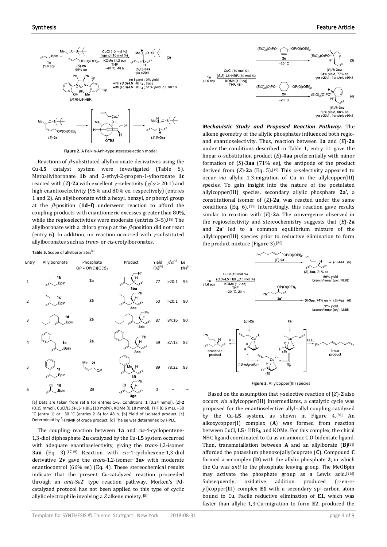

**Figure 2.** A Felkin-Anh-type stereoselection model

Reactions of  $\beta$ -substituted allylboronate derivatives using the Cu-**L5** catalyst system were investigated (Table 5). Methallylboronate **1b** and 2-ethyl-2-propen-1-ylboronate **1c** reacted with (*Z*)-**2a** with excellent  $\gamma$ -selectivity ( $\gamma/\alpha$  > 20:1) and high enantioselectivity (95% and 80% ee, respectively) (entries 1 and 2). An allylboronate with a hexyl, benzyl, or phenyl group at the β-position (**1d–f**) underwent reaction to afford the coupling products with enantiomeric excesses greater than 80%, while the regioselectivities were moderate (entries 3-5).<sup>[18]</sup> The allylboronate with a chloro group at the  $\beta$ -position did not react (entry 6). In addition, no reaction occurred with γ-substituted allylboronates such as *trans*- or *cis*-crotylboronates.

**Table 5.** Scope of allylboronates<sup>[a]</sup>

| Entry          | Allylboronate   | Phosphate<br>$OP = OP(O)(OEt)2$ | Product                | Yield<br>$({\%})^{[b]}$ | $\mathcal{U}[\alpha^{[c]}]$ | Ee<br>$\underline{\left(\frac{\%}{\ } \right)}^{[d]}$ |
|----------------|-----------------|---------------------------------|------------------------|-------------------------|-----------------------------|-------------------------------------------------------|
| $\mathbf 1$    | 1b<br>Bpin      | 2a                              | Ph<br>Ĥ<br>3ba         | 77                      | >20:1                       | 95                                                    |
| $\overline{2}$ | 1c<br>Bpin      | 2a                              | Ph<br>Н<br>3ca         | 50                      | >20:1                       | 80                                                    |
| 3              | 1d<br>Bpin      | 2a                              | Ph<br>Ĥ<br>3da         | 87                      | 84:16                       | 80                                                    |
| $\overline{4}$ | 1e<br>Bpin      | 2a                              | Ph<br>Ĥ<br>3ea         | 59                      | 87:13                       | 82                                                    |
| 5              | 1f<br>Bpin      | Me<br>2t<br>OP                  | Me H<br>3ft            | 89                      | 78:22                       | 83                                                    |
| 6              | 1g<br>C<br>Bpin | 2a                              | Ph<br><b>CI</b><br>3ga | 0                       |                             |                                                       |

[a] Data are taken from ref 8 for entries 1–5. Conditions: **1** (0.24 mmol), (*Z*)-**2** (0.15 mmol), CuCl/(*S*,*S*)-**L5**・HBF4 (10 mol%), KOMe (0.18 mmol), THF (0.6 mL), –50 ˚C (entry 1) or –30 ˚C (entries 2–6) for 48 h. [b] Yield of isolated product. [c] Determined by  ${}^{1}$ H NMR of crude product. [d] The ee was determined by HPLC.

The coupling reaction between **1a** and *cis*-4-cyclopentene-1,3-diol diphosphate **2u** catalyzed by the Cu-**L5** system occurred with adequate enantioselectivity, giving the *trans*-1,2-isomer **3au** (Eq. 3).[17,19] Reaction with *cis*-4-cyclohexene-1,3-diol derivative **2v** gave the *trans*-1,2-isomer **3av** with moderate enantiocontrol (66% ee) (Eq. 4). These stereochemical results indicate that the present Cu-catalyzed reaction proceeded through an *anti*-S<sub>N</sub>2' type reaction pathway. Morken's Pdcatalyzed protocol has not been applied to this type of cyclic allylic electrophile involving a *Z* alkene moiety. [5]



*Mechanistic Study and Proposed Reaction Pathway.* The alkene geometry of the allylic phosphates influenced both regioand enantioselectivity. Thus, reaction between **1a** and (*E*)-**2a** under the conditions described in Table 1, entry 11 gave the linear α-substitution product (*E*)-**4aa** preferentially with minor formation of (*S*)-**3aa** (71% ee), the antipode of the product derived from  $(Z)$ -2a (Eq. 5).<sup>[19]</sup> This  $\alpha$ -selectivity appeared to occur *via* allylic 1,3-migration of Cu in the allylcopper(III) species. To gain insight into the nature of the postulated allylcopper(III) species, secondary allylic phosphate **2a'**, a constitutional isomer of (*Z*)-**2a**, was reacted under the same conditions (Eq. 6).  $[19]$  Interestingly, this reaction gave results similar to reaction with (*E*)-**2a**. The convergence observed in the regioselectivity and stereochemistry suggests that (*E*)-**2a** and **2a'** led to a common equilibrium mixture of the allylcopper(III) species prior to reductive elimination to form the product mixture (Figure 3).<sup>[20]</sup>



**Figure 3.** Allylcopper(III) species

Based on the assumption that γ-selective reaction of (*Z*)-**2** also occurs *via* allylcopper(III) intermediates, a catalytic cycle was proposed for the enantioselective allyl–allyl coupling catalyzed by the Cu-L5 system, as shown in Figure 4.<sup>[20]</sup> An alkoxycopper(I) complex (**A**) was formed from reaction between CuCl, **L5**・ HBF4, and KOMe. For this complex, the chiral NHC ligand coordinated to Cu as an anionic C,O-bidentate ligand. Then, transmetallation between **A** and an allylborate (**B**)[21] afforded the potassium phenoxo(allyl)cuprate (**C**). Compound **C** formed a π-complex (**D**) with the allylic phosphate **2**, in which the Cu was *anti* to the phosphate leaving group. The MeOBpin may activate the phosphate group as a Lewis acid. [14d] Subsequently, oxidative addition produced  $(\pi$ -en- $\sigma$ yl)copper(III) complex **E1** with a secondary sp3-carbon atom bound to Cu. Facile reductive elimination of **E1**, which was faster than allylic 1,3-Cu-migration to form **E2**, produced the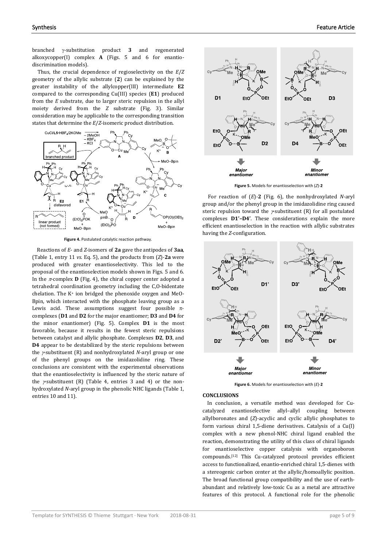branched γ-substitution product **3** and regenerated alkoxycopper(I) complex **A** (Figs. 5 and 6 for enantiodiscrimination models).

Thus, the crucial dependence of regioselectivity on the *E*/*Z* geometry of the allylic substrate (**2**) can be explained by the greater instability of the allylcopper(III) intermediate **E2** compared to the corresponding Cu(III) species (**E1**) produced from the *E* substrate, due to larger steric repulsion in the allyl moiety derived from the *Z* substrate (Fig. 3). Similar consideration may be applicable to the corresponding transition states that determine the *E*/*Z*-isomeric product distribution.



**Figure 4.** Postulated catalytic reaction pathway.

 Reactions of *E*- and *Z*-isomers of **2a** gave the antipodes of **3aa**, (Table 1, entry 11 *vs*. Eq. 5), and the products from (*Z*)-**2a** were produced with greater enantioselectivity. This led to the proposal of the enantioselection models shown in Figs. 5 and 6. In the  $\pi$ -complex **D** (Fig. 4), the chiral copper center adopted a tetrahedral coordination geometry including the C,O-bidentate chelation. The K+ ion bridged the phenoxide oxygen and MeO-Bpin, which interacted with the phosphate leaving group as a Lewis acid. These assumptions suggest four possible  $\pi$ complexes (**D1** and **D2** for the major enantiomer; **D3** and **D4** for the minor enantiomer) (Fig. 5). Complex **D1** is the most favorable, because it results in the fewest steric repulsions between catalyst and allylic phosphate. Complexes **D2**, **D3**, and **D4** appear to be destabilized by the steric repulsions between the γ-substituent (R) and nonhydroxylated *N-*aryl group or one of the phenyl groups on the imidazolidine ring. These conclusions are consistent with the experimental observations that the enantioselectivity is influenced by the steric nature of the  $\gamma$ -substituent (R) (Table 4, entries 3 and 4) or the nonhydroxylated *N*-aryl group in the phenolic NHC ligands (Table 1, entries 10 and 11).



**Figure 5.** Models for enantioselection with (*Z*)-**2**

For reaction of (*E*)*-***2** (Fig. 6), the nonhydroxylated *N-*aryl group and/or the phenyl group in the imidazolidine ring caused steric repulsion toward the  $\gamma$ -substituent (R) for all postulated complexes **D1'–D4'**. These considerations explain the more efficient enantioselection in the reaction with allylic substrates having the *Z*-configuration.



**Figure 6.** Models for enantioselection with (*E*)-**2**

#### **CONCLUSIONS**

In conclusion, a versatile method was developed for Cucatalyzed enantioselective allyl–allyl coupling between allylboronates and (*Z*)-acyclic and cyclic allylic phosphates to form various chiral 1,5-diene derivatives. Catalysis of a Cu(I) complex with a new phenol-NHC chiral ligand enabled the reaction, demonstrating the utility of this class of chiral ligands for enantioselective copper catalysis with organoboron compounds.[12] This Cu-catalyzed protocol provides efficient access to functionalized, enantio-enriched chiral 1,5-dienes with a stereogenic carbon center at the allylic/homoallylic position. The broad functional group compatibility and the use of earthabundant and relatively low-toxic Cu as a metal are attractive features of this protocol. A functional role for the phenolic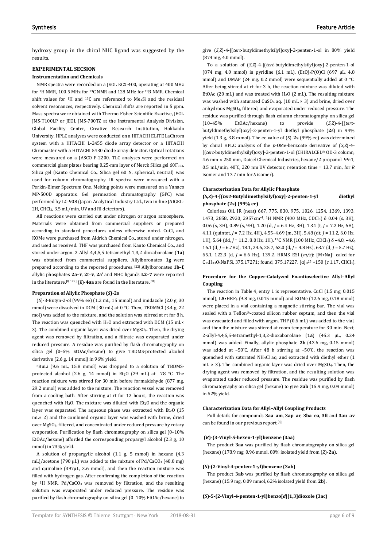hydroxy group in the chiral NHC ligand was suggested by the results.

# **EXPERIMENTAL SECSION**

#### **Instrumentation and Chemicals**

NMR spectra were recorded on a JEOL ECX-400, operating at 400 MHz for 1H NMR, 100.5 MHz for 13C NMR and 128 MHz for 11B NMR. Chemical shift values for 1H and 13C are referenced to Me4Si and the residual solvent resonances, respectively. Chemical shifts are reported in  $\delta$  ppm. Mass spectra were obtained with Thermo Fisher Scientific Exactive, JEOL JMS-T100LP or JEOL JMS-700TZ at the Instrumental Analysis Division, Global Facility Center, Creative Research Institution, Hokkaido University. HPLC analyses were conducted on a HITACHI ELITE LaChrom system with a HITACHI L-2455 diode array detector or a HITACHI Chromaster with a HITACHI 5430 diode array detector. Optical rotations were measured on a JASCO P-2200. TLC analyses were performed on commercial glass plates bearing 0.25-mm layer of Merck Silica gel 60F254. Silica gel (Kanto Chemical Co., Silica gel 60 N, spherical, neutral) was used for column chromatography. IR spectra were measured with a Perkin-Elmer Spectrum One. Melting points were measured on a Yanaco MP-500D apparatus. Gel permeation chromatography (GPC) was performed by LC-908 (Japan Analytical Industry Ltd., two in-line JAIGEL-2H, CHCl3, 3.5 mL/min, UV and RI detectors).

All reactions were carried out under nitrogen or argon atmosphere. Materials were obtained from commercial suppliers or prepared according to standard procedures unless otherwise noted. CuCl, and KOMe were purchased from Aldrich Chemical Co., stored under nitrogen, and used as received. THF was purchased from Kanto Chemical Co., and stored under argon. 2-Allyl-4,4,5,5-tetramethyl-1,3,2-dioxaborolane (**1a**) was obtained from commercial suppliers. Allylboronates **1g** were prepared according to the reported procedures. [22] Allylboronates **1b**–**f**, allylic phosphates **2a–r**, **2t**–**v**, **2a'** and NHC ligands **L2–7** were reported in the literature.<sup>[8, 12a]</sup> ( $E$ )-4aa are found in the literature.<sup>[3f]</sup>

#### **Preparation of Allylic Phosphate (***S***)-2s**

(*S*)-3-Butyn-2-ol (99% ee) (1.2 mL, 15 mmol) and imidazole (2.0 g, 30 mmol) were dissolved in DCM (30 mL) at 0 °C. Then, TBDMSCl (3.4 g, 22 mol) was added to the mixture, and the solution was stirred at rt for 8 h. The reaction was quenched with H<sub>2</sub>O and extracted with DCM (15 mL× 3). The combined organic layer was dried over MgSO4. Then, the drying agent was removed by filtration, and a filtrate was evaporated under reduced pressure. A residue was purified by flash chromatography on silica gel (0–5% EtOAc/hexane) to give TBDMS-protected alcohol derivative (2.6 g, 14 mmol) in 96% yield.

nBuLi (9.6 mL, 15.8 mmol) was dropped to a solution of TBDMSprotected alcohol (2.6 g, 14 mmol) in Et<sub>2</sub>O (29 mL) at  $-78$  °C. The reaction mixture was stirred for 30 min before formaldehyde (877 mg, 29.2 mmol) was added to the mixture. The reaction vessel was removed from a cooling bath. After stirring at rt for 12 hours, the reaction was quenched with  $H_2O$ . The mixture was diluted with  $Et_2O$  and the organic layer was separated. The aqueous phase was extracted with  $Et<sub>2</sub>O$  (15 mL× 2) and the combined organic layer was washed with brine, dried over MgSO4, filtered, and concentrated under reduced pressure by rotary evaporation. Purification by flash chromatography on silica gel (0–10% EtOAc/hexane) afforded the corresponding propargyl alcohol (2.3 g, 10 mmol) in 73% yield.

A solution of propargylic alcohol (1.1 g, 5 mmol) in hexane (4.3 mL)/acetone (790  $\mu$ L) was added to the mixture of Pd/CaCO<sub>3</sub> (40.0 mg) and quinoline (397μL, 3.6 mmol), and then the reaction mixture was filled with hydrogen gas. After confirming the completion of the reaction by <sup>1</sup>H NMR, Pd/CaCO<sub>3</sub> was removed by filtration, and the resulting solution was evaporated under reduced pressure. The residue was purified by flash chromatography on silica gel (0–10% EtOAc/hexane) to

give (*S*,*Z*)-4-[(*tert*-butyldimethylsilyl)oxy]-2-penten-1-ol in 80% yield (874 mg, 4.0 mmol).

To a solution of (*S*,*Z*)-4-[(*tert*-butyldimethylsilyl)oxy]-2-penten-1-ol (874 mg, 4.0 mmol) in pyridine (6.1 mL), (EtO)2P(O)Cl (697 μL, 4.8 mmol) and DMAP (24 mg, 0.2 mmol) were sequentially added at 0 °C. After being stirred at rt for 3 h, the reaction mixture was diluted with EtOAc (20 mL) and was treated with H2O (2 mL). The resulting mixture was washed with saturated  $CuSO_4$  aq. (10 mL  $\times$  3) and brine, dried over anhydrous MgSO4, filtered, and evaporated under reduced pressure. The residue was purified through flash column chromatography on silica gel (10–45% EtOAc/hexane) to provide (*S*,*Z*)-4-[(*tert*butyldimethylsilyl)oxy]-2-penten-1-yl diethyl phosphate (**2s**) in 94% yield (1.3 g, 3.8 mmol). The ee value of (*S*)-**2s** (99% ee) was determined by chiral HPLC analysis of the *p*-OMe-benzoate derivative of (*S*,*Z*)-4- [(*tert*-butyldimethylsilyl)oxy]-2-penten-1-ol (CHIRALCEL® OD-3 column, 4.6 mm × 250 mm, Daicel Chemical Industries, hexane/2-propanol 99:1, 0.5 mL/min, 40 ̊C, 220 nm UV detector, retention time = 13.7 min, for *R* isomer and 17.7 min for *S* isomer).

#### **Characterization Data for Allylic Phosphate**

# **(***S***,***Z***)-4-[(***tert***-Butyldimethylsilyl)oxy]-2-penten-1-yl diethyl phosphate (2s) (99% ee)**

Colorless Oil. IR (neat) 667, 775, 830, 975, 1026, 1254, 1369, 1393, 1473, 2858, 2930, 2957cm–1. 1H NMR (400 MHz, CDCl3) δ 0.04 (s, 3H), 0.06 (s, 3H), 0.89 (s, 9H), 1.20 (d, *J* = 6.4 Hz, 3H), 1.34 (t, *J* = 7.2 Hz, 6H), 4.11 (quintet, *J* = 7.2 Hz, 4H), 4.55–4.69 (m, 3H), 5.48 (dt, *J* = 11.2, 6.0 Hz, 1H), 5.64 (dd, *J* = 11.2, 8.0 Hz, 1H). <sup>13</sup>C NMR (100 MHz, CDCl<sub>3</sub>) δ -4.8, -4.6, 16.1 (d, *J* = 6.7Hz), 18.1, 24.6, 25.7, 63.0 (d, *J* = 4.8 Hz), 63.7 (d, *J* = 5.7 Hz), 65.1, 122.3 (d, *J* = 6.6 Hz), 139.2. HRMS–ESI (*m/z*): [M+Na]+ calcd for C<sub>15</sub>H<sub>33</sub>O<sub>5</sub>NaPSi, 375.17271; found, 375.17227. [α]<sub>D</sub><sup>25</sup> +150 (*c* 1.17, CHCl<sub>3</sub>).

#### **Procedure for the Copper-Catalyzed Enantioselective Allyl–Allyl Coupling**

The reaction in Table 4, entry 1 is representative. CuCl (1.5 mg, 0.015 mmol), **L5**•HBF<sup>4</sup> (9.8 mg, 0.015 mmol) and KOMe (12.6 mg, 0.18 mmol) were placed in a vial containing a magnetic stirring bar. The vial was sealed with a Teflon®-coated silicon rubber septum, and then the vial was evacuated and filled with argon. THF (0.6 mL) was added to the vial, and then the mixture was stirred at room temperature for 30 min. Next, 2-allyl-4,4,5,5-tetramethyl-1,3,2-dioxaborolane (**1a**) (45.3 μL, 0.24 mmol) was added. Finally, allylic phosphate **2b** (42.6 mg, 0.15 mmol) was added at  $-50^{\circ}$ C. After 48 h stirring at  $-50^{\circ}$ C, the reaction was quenched with saturated NH4Cl aq. and extracted with diethyl ether (1  $mL \times 3$ ). The combined organic layer was dried over MgSO<sub>4</sub>. Then, the drying agent was removed by filtration, and the resulting solution was evaporated under reduced pressure. The residue was purified by flash chromatography on silica gel (hexane) to give **3ab** (15.9 mg, 0.09 mmol) in 62% yield.

#### **Characterization Data for Allyl–Allyl Coupling Products**

Full details for compounds **3aa**–**am**, **3ap**–**ar**, **3ba**–**ea**, **3ft** and **3au**–**av** can be found in our previous report. [8]

#### **(***R***)-(3-Vinyl-5-hexen-1-yl)benzene (3aa)**

The product **3aa** was purified by flash chromatography on silica gel (hexane) (178.9 mg, 0.96 mmol, 80% isolated yield from (*Z*)-**2a**).

#### **(***S***)-(2-Vinyl-4-penten-1-yl)benzene (3ab)**

The product **3ab** was purified by flash chromatography on silica gel (hexane) (15.9 mg, 0.09 mmol, 62% isolated yield from **2b**).

#### **(***S***)-5-(2-Vinyl-4-penten-1-yl)benzo[***d***][1,3]dioxole (3ac)**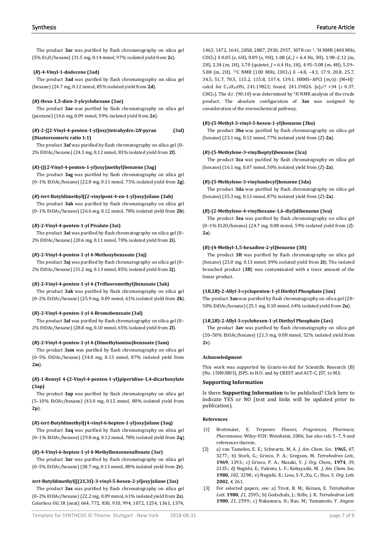The product **3ac** was purified by flash chromatography on silica gel (5% Et2O/hexane) (31.5 mg, 0.14 mmol, 97% isolated yield from **2c**).

## **(***R***)-4-Vinyl-1-dodecene (3ad)**

The product **3ad** was purified by flash chromatography on silica gel (hexane) (24.7 mg, 0.12 mmol, 85% isolated yield from **2d**).

# **(***R***)-Hexa-1,5-dien-3-ylcyclohexane (3ae)**

The product **3ae** was purified by flash chromatography on silica gel (pentane) (14.6 mg, 0.09 mmol, 59% isolated yield from **2e**).

## **(***R***)-2-{[2-Vinyl-4-penten-1-yl]oxy}tetrahydro-2***H***-pyran (3af) (Diastereomeric ratio 1:1)**

The product **3af** was purified by flash chromatography on silica gel (0– 2% EtOAc/hexane) (24.3 mg, 0.12 mmol, 83% isolated yield from **2f**).

# **(***R***)-{[(2-Vinyl-4-penten-1-yl)oxy]methyl}benzene (3ag)**

The product **3ag** was purified by flash chromatography on silica gel (0–1% EtOAc/hexane) (22.8 mg, 0.11 mmol, 75% isolated yield from **2g**).

# **(***R***)-***tert***-Butyldimethyl[(2-vinylpent-4-en-1-yl)oxy]silane (3ah)**

The product **3ah** was purified by flash chromatography on silica gel (0–1% EtOAc/hexane) (26.6 mg, 0.12 mmol, 78% isolated yield from **2h**).

# **(***R***)-2-Vinyl-4-penten-1-yl Pivalate (3ai)**

The product **3ai** was purified by flash chromatography on silica gel (0– 2% EtOAc/hexane) (20.6 mg, 0.11 mmol, 70% isolated yield from **2i**).

#### **(***R***)-2-Vinyl-4-penten-1-yl 4-Methoxybenzoate (3aj)**

The product **3aj** was purified by flash chromatography on silica gel (0– 2% EtOAc/hexane) (31.2 mg, 0.13 mmol, 85% isolated yield from **2j**).

# **(***R***)-2-Vinyl-4-penten-1-yl 4-(Trifluoromethyl)benzoate (3ak)**

The product **3ak** was purified by flash chromatography on silica gel (0–2% EtOAc/hexane) (25.9 mg, 0.09 mmol, 61% isolated yield from **2k**).

# **(***R***)-2-Vinyl-4-penten-1-yl 4-Bromobenzoate (3al)**

The product **3al** was purified by flash chromatography on silica gel (0– 2% EtOAc/hexane) (28.8 mg, 0.10 mmol, 65% isolated yield from **2l**).

# **(***R***)-2-Vinyl-4-penten-1-yl 4-(Dimethylamino)benzoate (3am)**

The product **3am** was purified by flash chromatography on silica gel (0–5% EtOAc/hexane) (34.0 mg, 0.13 mmol, 87% isolated yield from **2m**).

# **(***R***)-1-Benzyl 4-(2-Vinyl-4-penten-1-yl)piperidine-1,4-dicarboxylate (3ap)**

The product **3ap** was purified by flash chromatography on silica gel (5–10% EtOAc/hexane) (43.0 mg, 0.12 mmol, 80% isolated yield from **2p**).

# **(***R***)-***tert***-Butyldimethyl[(4-vinyl-6-hepten-1-yl)oxy]silane (3aq)**

The product **3aq** was purified by flash chromatography on silica gel (0–1% EtOAc/hexane) (29.8 mg, 0.12 mmol, 78% isolated yield from **2q**).

#### **(***R***)-4-Vinyl-6-hepten-1-yl 4-Methylbenzenesulfonate (3ar)**

The product **3ar** was purified by flash chromatography on silica gel (0–5% EtOAc/hexane) (38.7 mg, 0.13 mmol, 88% isolated yield from **2r**).

#### *tert***-Butyldimethyl[[(2***S***,3***S***)-3-vinyl-5-hexen-2-yl]oxy]silane (3as)**

The product **3as** was purified by flash chromatography on silica gel (0–2% EtOAc/hexane) (22.2 mg, 0.09 mmol, 61% isolated yield from **2s**). Colorless Oil. IR (neat) 664, 772, 830, 910, 994, 1072, 1254, 1361, 1374, 1463, 1472, 1641, 2858, 2887, 2930, 2957, 3078 cm–1. 1H NMR (400 MHz, CDCl3) δ 0.05 (s, 6H), 0.89 (s, 9H), 1.08 (d, *J* = 6.4 Hz, 3H), 1.98–2.12 (m, 2H), 2.34 (m, 1H), 3.70 (quintet, *J* = 6.4 Hz, 1H), 4.95–5.08 (m, 4H), 5.59– 5.88 (m, 2H). 13C NMR (100 MHz, CDCl3) δ –4.8, –4.3, 17.9, 20.8, 25.7, 34.5, 51.7, 70.5, 115.2, 115.8, 137.4, 139.1. HRMS–APCI (*m/z*): [M+H]+ calcd for C<sub>14</sub>H<sub>29</sub>OSi, 241.19822; found, 241.19826.  $[\alpha]_D^{25}$  +34 (*c* 0.37, CHCl3). The d.r. (90:10) was determined by 1H NMR analysis of the crude product. The absolute configuration of **3as** was assigned by consideration of the stereochemical pathway.

## **(***R***)-(5-Methyl-3-vinyl-5-hexen-1-yl)benzene (3ba)**

The product **3ba** was purified by flash chromatography on silica gel (hexane) (23.1 mg, 0.12 mmol, 77% isolated yield from (*Z*)-**2a**).

#### **(***R***)-(5-Methylene-3-vinylheptyl)benzene (3ca)**

The product **3ca** was purified by flash chromatography on silica gel (hexane) (16.1 mg, 0.07 mmol, 50% isolated yield from (*Z*)-**2a**).

#### **(***R***)-(5-Methylene-3-vinylundecyl)benzene (3da)**

The product **3da** was purified by flash chromatography on silica gel (hexane) (35.3 mg, 0.13 mmol, 87% isolated yield from (*Z*)-**2a**).

#### **(***R***)-(2-Methylene-4-vinylhexane-1,6-diyl)dibenzene (3ea)**

The product **3ea** was purified by flash chromatography on silica gel (0–1% Et2O/hexane) (24.7 mg, 0.08 mmol, 59% isolated yield from (*Z*)- **2a**).

#### **(***R***)-(4-Methyl-1,5-hexadien-2-yl)benzene (3ft)**

The product **3ft** was purified by flash chromatography on silica gel (hexane) (23.0 mg, 0.13 mmol, 89% isolated yield from **2t**). The isolated branched product (**3ft**) was contaminated with a trace amount of the linear product.

#### **(1***R***,2***R***)-2-Allyl-3-cyclopenten-1-yl Diethyl Phosphate (3au)**

The product **3au** was purified by flash chromatography on silica gel (20– 50% EtOAc/hexane) (25.1 mg, 0.10 mmol, 64% isolated yield from **2u**).

#### **(1***R***,2***R***)-2-Allyl-3-cyclohexen-1-yl Diethyl Phosphate (3av)**

The product **3av** was purified by flash chromatography on silica gel (20–50% EtOAc/hexane) (21.3 mg, 0.08 mmol, 52% isolated yield from **2v**).

#### **Acknowledgment**

This work was supported by Grants-in-Aid for Scientific Research (B) (No. 15H03803), JSPS, to H.O. and by CREST and ACT-C, JST, to M.S.

#### **Supporting Information**

Is there **Supporting Information** to be published? Click here to indicate YES or NO (text and links will be updated prior to publication).

#### **References**

- [1] Breitmaier, E. *Terpenes: Flavors, Fragrances, Pharmaca, Pheromones*; Wiley-VCH: Weinheim, 2006. See also refs 5–7, 9 and references therein.
- [2] a) van Tamelen, E. E.; Schwartz, M. A. *J. Am. Chem. Soc*. **1965,** *87*, 3277.; b) Stork, G.; Grieco, P. A.; Gregson, M. *Tetrahedron Lett.*, **1969**, 1393.; c) [Grieco,](http://pubs.acs.org.ezoris.lib.hokudai.ac.jp/author/Grieco%2C+Paul+A.) P. A.; [Masaki,](http://pubs.acs.org.ezoris.lib.hokudai.ac.jp/author/Masaki%2C+Yukio) Y. *J. Org. Chem.*, **1974**, *39*, 2135.; d) Negishi, E.; Valente, L. F.; Kobayashi, M. *J. Am. Chem. Soc*. **1980,** *102*, 3298.; e) Negishi, E.; Liou, S-Y.,;Xu, C.; Huo, S. *Org. Lett.* **2002**, *4*, 261.
- [3] For selected papers, see: a) Trost, B. M.; Keinan, E. *Tetrahedron Lett.* **1980**, *21*, 2595.; b) Godschalx, J.; Stille, J. K. *Tetrahedron Lett.* **1980**, *21*, 2599.; c) Nakamura, H.; Bao, M.; Yamamoto, Y. *Angew.*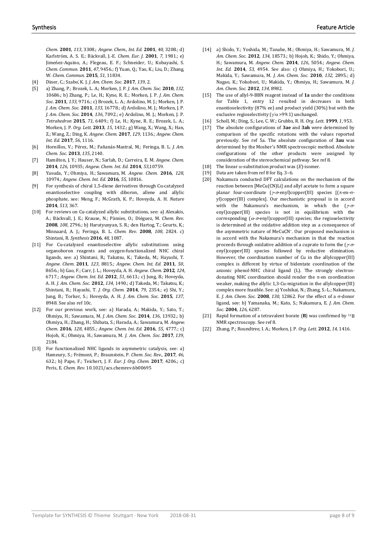*Chem*. **2001**, *113*, 3308.; *Angew. Chem., Int. Ed.* **2001**, *40*, 3208.; d) Karlström, A. S. E.; Bäckvall, J.-E. *Chem. Eur. J.* **2001**, *7*, 1981.; e) Jimeńez-Aquino, A.; Flegeau, E. F.; Schneider, U.; Kobayashi, S. *Chem. Commun.* **2011**, *47*, 9456.; f) Yuan, Q.; Yao, K.; Liu, D.; Zhang, W. *Chem. Commun.* **2015**, *51*, 11834.

- [4] Diner, C.; Szabo,́ K. J. *J. Am. Chem. Soc.* **2017**, *139*, 2.
- [5] a) Zhang, P.; Brozek, L. A.; Morken, J. P. *J. Am. Chem. Soc.* **2010**, *132*, 10686.; b) Zhang, P.; Le, H.; Kyne, R. E.; Morken, J. P. *J. Am. Chem. Soc.* **2011**, *133*, 9716.; c) Brozek, L. A.; Ardolino, M. J.; Morken, J. P. *J. Am. Chem. Soc.* **2011**, *133*, 16778.; d) Ardolino, M. J.; Morken, J. P. *J. Am. Chem. Soc.* **2014**, *136*, 7092.; e) Ardolino, M. J.; Morken, J. P. *Tetrahedron* **2015**, *71*, 6409.; f) Le, H.; Kyne, R. E.; Brozek, L. A.; Morken, J. P. *Org. Lett.* **2013**, *15*, 1432.; g) Wang, X.; Wang, X.; Han, Z.; Wang, Z.; Ding, K. *Angew. Chem.* **2017**, *129*, 1136.; *Angew. Chem. Int. Ed.* **2017**, *56*, 1116.
- [6] Hornillos, V.; Pérez, M.; Fañanás-Mastral, M.; Feringa, B. L. *J. Am. Chem. Soc.* **2013**, *135*, 2140.
- [7] Hamilton, J. Y.; Hauser, N.; Sarlah, D.; Carreira, E. M. *Angew. Chem.* **2014**, *126*, 10935; *Angew. Chem. Int. Ed.* **2014**, *53*,10759.
- [8] Yasuda, Y.; Ohmiya, H.; Sawamura, M. *Angew. Chem.* **2016**, *128*, 10974.; *Angew. Chem. Int. Ed.* **2016**, *55,* 10816.
- [9] For synthesis of chiral 1,5-diene derivatives through Cu-catalyzed enantioselective coupling with diboron, allene and allylic phosphate, see: Meng, F.; McGrath, K. P.; Hoveyda, A. H. *Nature* **2014**, *513*, 367.
- [10] For reviews on Cu-catalyzed allylic substitutions, see: a) Alexakis, A.; Bäckvall, J. E.; Krause, N.; Pàmies, O.; Diéguez, M. *Chem. Rev*. **2008**, *108*, 2796.; b) Harutyunyan, S. R.; den Hartog, T.; Geurts, K.; Minnaard, A. J.; Feringa, B. L. *Chem. Rev*. **2008**, *108*, 2824. c) Shintani, R. *Synthesis* **2016**, *48*, 1087.
- [11] For Cu-catalyzed enantioselective allylic substitutions using organoboron reagents and oxygen-functionalized NHC chiral ligands, see: a) Shintani, R.; Takatsu, K.; Takeda, M.; Hayashi, T. *Angew. Chem.* **2011**, *123*, 8815.; *Angew. Chem. Int. Ed.* **2011**, *50*, 8656.; b) Gao, F.; Carr, J. L.; Hoveyda, A. H. *Angew. Chem.* **2012**, *124*, 6717.; *Angew. Chem. Int. Ed.* **2012**, *51*, 6613.; c) Jung, B.; Hoveyda, A. H. *J. Am. Chem. Soc.* **2012**, *134,* 1490.; d) Takeda, M.; Takatsu, K.; Shintani, R.; Hayashi, T. *J. Org. Chem.* **2014**, *79*, 2354.; e) Shi, Y.; Jung, B.; Torker, S.; Hoveyda, A. H. *J. Am. Chem. Soc.* **2015**, *137*, 8948. See also ref 10c.
- [12] For our previous work, see: a) Harada, A.; Makida, Y.; Sato, T.; Ohmiya, H.; Sawamura, M. *J. Am. Chem. Soc.* **2014**, *136*, 13932.; b) Ohmiya, H.; Zhang, H.; Shibata, S.; Harada, A.; Sawamura, M. *Angew. Chem*. **2016**, *128*, 4855.; *Angew. Chem. Int. Ed.* **2016**, *55*, 4777.; c) Hojoh, K.; Ohmiya, H.; Sawamura, M. *J. Am. Chem. Soc.* **2017***, 139*, 2184.
- [13] For functionalized NHC ligands in asymmetric catalysis, see: a] Hameury, S.; Frémont, P.; Braunstein, P. *Chem. Soc. Rev.*, **2017**, *46*, 632.; b) Pape, F.; Teichert, J. F. *Eur. J. Org. Chem.* **2017**, 4206.; c) Peris, E. *Chem. Rev.* 10.1021/acs.chemrev.6b00695
- [14] a) Shido, Y.; Yoshida, M.; Tanabe, M.; Ohmiya, H.; Sawamura, M. *J. Am. Chem. Soc.* **2012**, *134,* 18573.; b) Hojoh, K.; Shido, Y.; Ohmiya, H.; Sawamura, M. *Angew. Chem*. **2014**, *126*, 5054.; *Angew. Chem. Int. Ed.* **2014**, *53,* 4954. See also: c) Ohmiya, H.; Yokobori, U.; Makida, Y.; Sawamura, M. *J. Am. Chem. Soc.* **2010**, *132,* 2895.; d) Nagao, K.; Yokobori, U.; Makida, Y.; Ohmiya, H.; Sawamura, M. *J. Am. Chem. Soc.* **2012**, *134,* 8982.
- [15] The use of allyl-9-BBN reagent instead of **1a** under the conditions for Table 1, entry 12 resulted in decreases in both enantioselectivity (87% ee) and product yield (30%) but with the exclusive regioselectivity ( $\gamma/\alpha$  >99:1) unchanged.
- [16] Scholl, M.; Ding, S.; Lee, C. W.; Grubbs, R. H. *Org. Lett.* **1999**, *1*, 953.
- [17] The absolute configurations of **3ae** and **3ah** were determined by comparison of the specific rotations with the values reported previously. See ref 5a. The absolute configuration of **3au** was determined by the Mosher's NMR spectroscopic method. Absolute configurations of the other products were assigned by consideration of the stereochemical pathway. See ref 8.
- [18] The linear α-substitution product was (*E*)-isomer.
- [19] Data are taken from ref 8 for Eq. 3-6.<br>[20] Nakamura conducted DFT calculatio
- Nakamura conducted DFT calculations on the mechanism of the reaction between [MeCu(CN)Li] and allyl acetate to form a square planar four-coordinate (γ-σ-enyl)copper(III) species [(π-en-σyl)copper(III) complex]. Our mechanistic proposal is in accord with the Nakamura's mechanism, in which the  $(\gamma \sigma$ enyl)copper(III) species is not in equilibrium with the corresponding  $(\alpha$ - $\sigma$ -enyl)coppor(III) species; the regioselectivity is determined at the oxidative addition step as a consequence of the asymmetric nature of MeCuCN–. Our proposed mechanism is in accord with the Nakamura's mechanism in that the reaction proceeds through oxidative addition of a cuprate to form the ( $\gamma$ -σenyl)copper(III) species followed by reductive elimination. However, the coordination number of Cu in the allylcopper(III) complex is different by virtue of bidentate coordination of the anionic phenol-NHC chiral ligand (L). The strongly electrondonating NHC coordination should render the  $\pi$ -en coordination weaker, making the allylic 1,3-Cu-migration in the allylcopper(III) complex more feasible. See: a) Yoshikai, N.; Zhang, S.-L.; Nakamura, E. *J. Am. Chem. Soc*. **2008**, *130*, 12862. For the effect of a σ-donor ligand, see: b) Yamanaka, M.; Kato, S.; Nakamura, E. *J. Am. Chem. Soc*. **2004**, *126*, 6287.
- [21] Rapid formation of a tetravalent borate (**B**) was confirmed by 11B NMR spectroscopy. See ref 8.
- [22] Zhang, P.; Roundtree, I. A.; Morken, J. P. *Org. Lett.* **2012**, *14,* 1416.